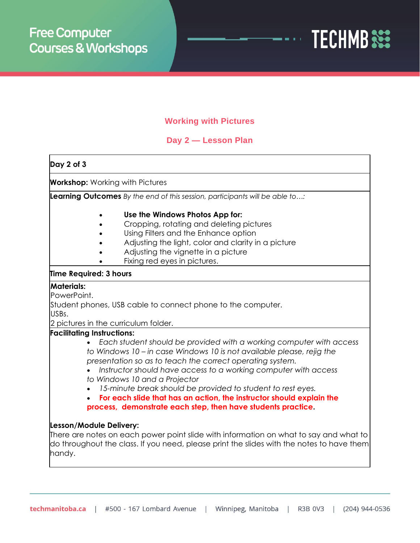

## **Working with Pictures**

## **Day 2 — Lesson Plan**

| Day $2$ of $3$                            |                                                                                                                                                                                                                                                                                                                                                                                                                                                                                                                      |
|-------------------------------------------|----------------------------------------------------------------------------------------------------------------------------------------------------------------------------------------------------------------------------------------------------------------------------------------------------------------------------------------------------------------------------------------------------------------------------------------------------------------------------------------------------------------------|
| <b>Workshop:</b> Working with Pictures    |                                                                                                                                                                                                                                                                                                                                                                                                                                                                                                                      |
|                                           | Learning Outcomes By the end of this session, participants will be able to:                                                                                                                                                                                                                                                                                                                                                                                                                                          |
|                                           | Use the Windows Photos App for:<br>Cropping, rotating and deleting pictures<br>Using Filters and the Enhance option<br>Adjusting the light, color and clarity in a picture<br>Adjusting the vignette in a picture<br>Fixing red eyes in pictures.                                                                                                                                                                                                                                                                    |
|                                           | Time Required: 3 hours                                                                                                                                                                                                                                                                                                                                                                                                                                                                                               |
| <b>Materials:</b><br>PowerPoint.<br>USBs. | Student phones, USB cable to connect phone to the computer.<br>2 pictures in the curriculum folder.                                                                                                                                                                                                                                                                                                                                                                                                                  |
|                                           | <b>Facilitating Instructions:</b>                                                                                                                                                                                                                                                                                                                                                                                                                                                                                    |
|                                           | Each student should be provided with a working computer with access<br>to Windows 10 - in case Windows 10 is not available please, rejig the<br>presentation so as to teach the correct operating system.<br>Instructor should have access to a working computer with access<br>to Windows 10 and a Projector<br>15-minute break should be provided to student to rest eyes.<br>For each slide that has an action, the instructor should explain the<br>process, demonstrate each step, then have students practice. |
| handy.                                    | Lesson/Module Delivery:<br>There are notes on each power point slide with information on what to say and what to<br>do throughout the class. If you need, please print the slides with the notes to have them                                                                                                                                                                                                                                                                                                        |